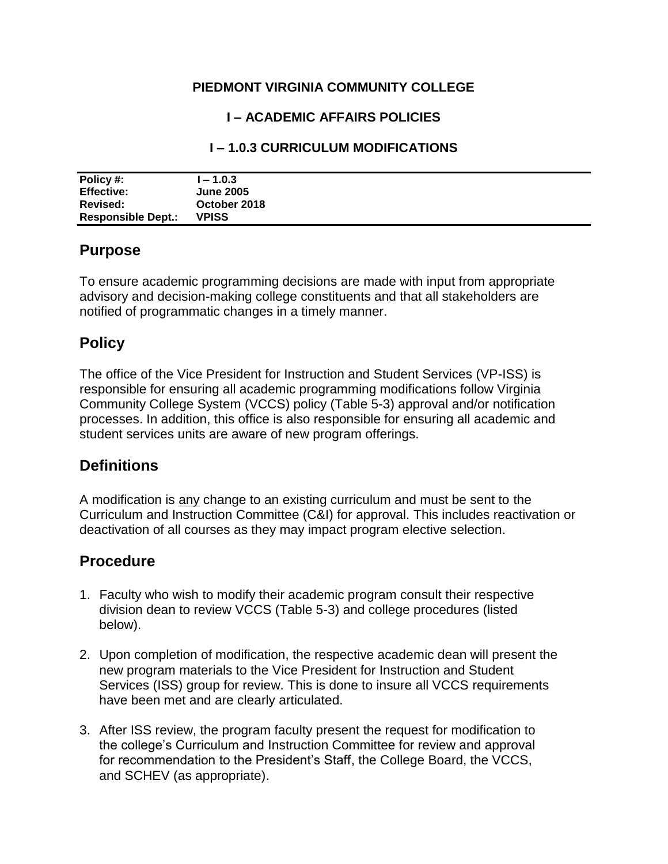#### **PIEDMONT VIRGINIA COMMUNITY COLLEGE**

#### **I – ACADEMIC AFFAIRS POLICIES**

#### **I – 1.0.3 CURRICULUM MODIFICATIONS**

| Policy #:                 | $-1.0.3$         |
|---------------------------|------------------|
| <b>Effective:</b>         | <b>June 2005</b> |
| Revised:                  | October 2018     |
| <b>Responsible Dept.:</b> | <b>VPISS</b>     |

## **Purpose**

To ensure academic programming decisions are made with input from appropriate advisory and decision-making college constituents and that all stakeholders are notified of programmatic changes in a timely manner.

# **Policy**

The office of the Vice President for Instruction and Student Services (VP-ISS) is responsible for ensuring all academic programming modifications follow Virginia Community College System (VCCS) policy (Table 5-3) approval and/or notification processes. In addition, this office is also responsible for ensuring all academic and student services units are aware of new program offerings.

# **Definitions**

A modification is any change to an existing curriculum and must be sent to the Curriculum and Instruction Committee (C&I) for approval. This includes reactivation or deactivation of all courses as they may impact program elective selection.

### **Procedure**

- 1. Faculty who wish to modify their academic program consult their respective division dean to review VCCS (Table 5-3) and college procedures (listed below).
- 2. Upon completion of modification, the respective academic dean will present the new program materials to the Vice President for Instruction and Student Services (ISS) group for review. This is done to insure all VCCS requirements have been met and are clearly articulated.
- 3. After ISS review, the program faculty present the request for modification to the college's Curriculum and Instruction Committee for review and approval for recommendation to the President's Staff, the College Board, the VCCS, and SCHEV (as appropriate).